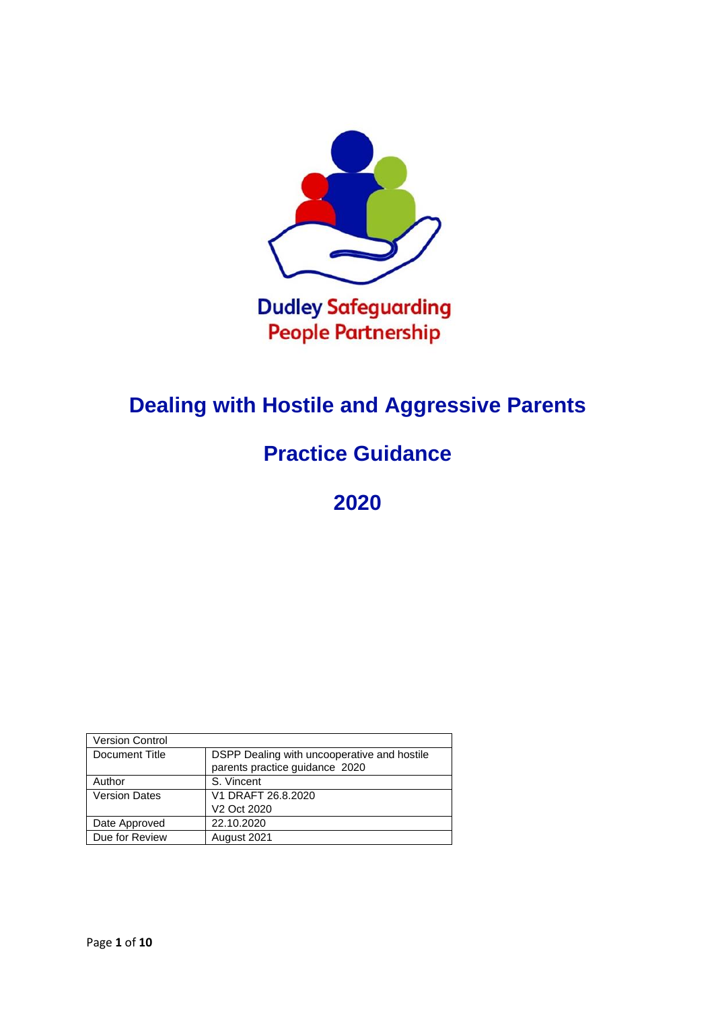

# **Dealing with Hostile and Aggressive Parents**

# **Practice Guidance**

**2020**

| <b>Version Control</b> |                                             |
|------------------------|---------------------------------------------|
| Document Title         | DSPP Dealing with uncooperative and hostile |
|                        | parents practice guidance 2020              |
| Author                 | S. Vincent                                  |
| <b>Version Dates</b>   | V1 DRAFT 26.8.2020                          |
|                        | V2 Oct 2020                                 |
| Date Approved          | 22.10.2020                                  |
| Due for Review         | August 2021                                 |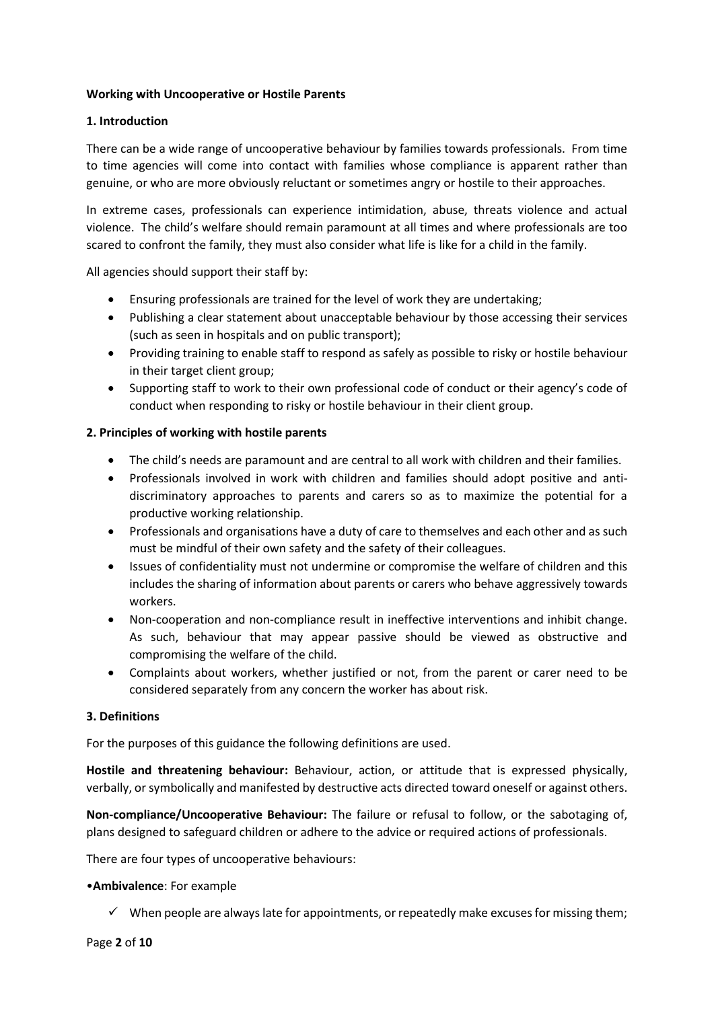## **Working with Uncooperative or Hostile Parents**

## **1. Introduction**

There can be a wide range of uncooperative behaviour by families towards professionals. From time to time agencies will come into contact with families whose compliance is apparent rather than genuine, or who are more obviously reluctant or sometimes angry or hostile to their approaches.

In extreme cases, professionals can experience intimidation, abuse, threats violence and actual violence. The child's welfare should remain paramount at all times and where professionals are too scared to confront the family, they must also consider what life is like for a child in the family.

All agencies should support their staff by:

- Ensuring professionals are trained for the level of work they are undertaking;
- Publishing a clear statement about unacceptable behaviour by those accessing their services (such as seen in hospitals and on public transport);
- Providing training to enable staff to respond as safely as possible to risky or hostile behaviour in their target client group;
- Supporting staff to work to their own professional code of conduct or their agency's code of conduct when responding to risky or hostile behaviour in their client group.

## **2. Principles of working with hostile parents**

- The child's needs are paramount and are central to all work with children and their families.
- Professionals involved in work with children and families should adopt positive and antidiscriminatory approaches to parents and carers so as to maximize the potential for a productive working relationship.
- Professionals and organisations have a duty of care to themselves and each other and as such must be mindful of their own safety and the safety of their colleagues.
- Issues of confidentiality must not undermine or compromise the welfare of children and this includes the sharing of information about parents or carers who behave aggressively towards workers.
- Non-cooperation and non-compliance result in ineffective interventions and inhibit change. As such, behaviour that may appear passive should be viewed as obstructive and compromising the welfare of the child.
- Complaints about workers, whether justified or not, from the parent or carer need to be considered separately from any concern the worker has about risk.

### **3. Definitions**

For the purposes of this guidance the following definitions are used.

**Hostile and threatening behaviour:** Behaviour, action, or attitude that is expressed physically, verbally, or symbolically and manifested by destructive acts directed toward oneself or against others.

**Non-compliance/Uncooperative Behaviour:** The failure or refusal to follow, or the sabotaging of, plans designed to safeguard children or adhere to the advice or required actions of professionals.

There are four types of uncooperative behaviours:

### •**Ambivalence**: For example

 $\checkmark$  When people are always late for appointments, or repeatedly make excuses for missing them;

Page **2** of **10**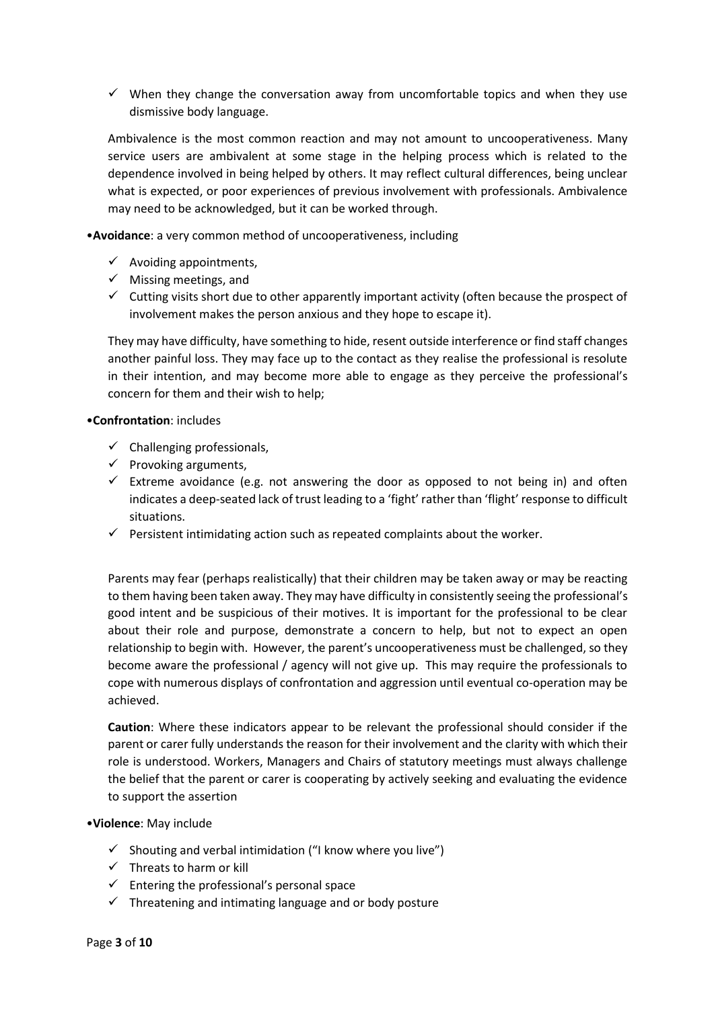$\checkmark$  When they change the conversation away from uncomfortable topics and when they use dismissive body language.

Ambivalence is the most common reaction and may not amount to uncooperativeness. Many service users are ambivalent at some stage in the helping process which is related to the dependence involved in being helped by others. It may reflect cultural differences, being unclear what is expected, or poor experiences of previous involvement with professionals. Ambivalence may need to be acknowledged, but it can be worked through.

•**Avoidance**: a very common method of uncooperativeness, including

- $\checkmark$  Avoiding appointments,
- $\checkmark$  Missing meetings, and
- $\checkmark$  Cutting visits short due to other apparently important activity (often because the prospect of involvement makes the person anxious and they hope to escape it).

They may have difficulty, have something to hide, resent outside interference or find staff changes another painful loss. They may face up to the contact as they realise the professional is resolute in their intention, and may become more able to engage as they perceive the professional's concern for them and their wish to help;

### •**Confrontation**: includes

- $\checkmark$  Challenging professionals,
- $\checkmark$  Provoking arguments,
- $\checkmark$  Extreme avoidance (e.g. not answering the door as opposed to not being in) and often indicates a deep-seated lack of trust leading to a 'fight' rather than 'flight' response to difficult situations.
- $\checkmark$  Persistent intimidating action such as repeated complaints about the worker.

Parents may fear (perhaps realistically) that their children may be taken away or may be reacting to them having been taken away. They may have difficulty in consistently seeing the professional's good intent and be suspicious of their motives. It is important for the professional to be clear about their role and purpose, demonstrate a concern to help, but not to expect an open relationship to begin with. However, the parent's uncooperativeness must be challenged, so they become aware the professional / agency will not give up. This may require the professionals to cope with numerous displays of confrontation and aggression until eventual co-operation may be achieved.

**Caution**: Where these indicators appear to be relevant the professional should consider if the parent or carer fully understands the reason for their involvement and the clarity with which their role is understood. Workers, Managers and Chairs of statutory meetings must always challenge the belief that the parent or carer is cooperating by actively seeking and evaluating the evidence to support the assertion

### •**Violence**: May include

- $\checkmark$  Shouting and verbal intimidation ("I know where you live")
- $\checkmark$  Threats to harm or kill
- $\checkmark$  Entering the professional's personal space
- $\checkmark$  Threatening and intimating language and or body posture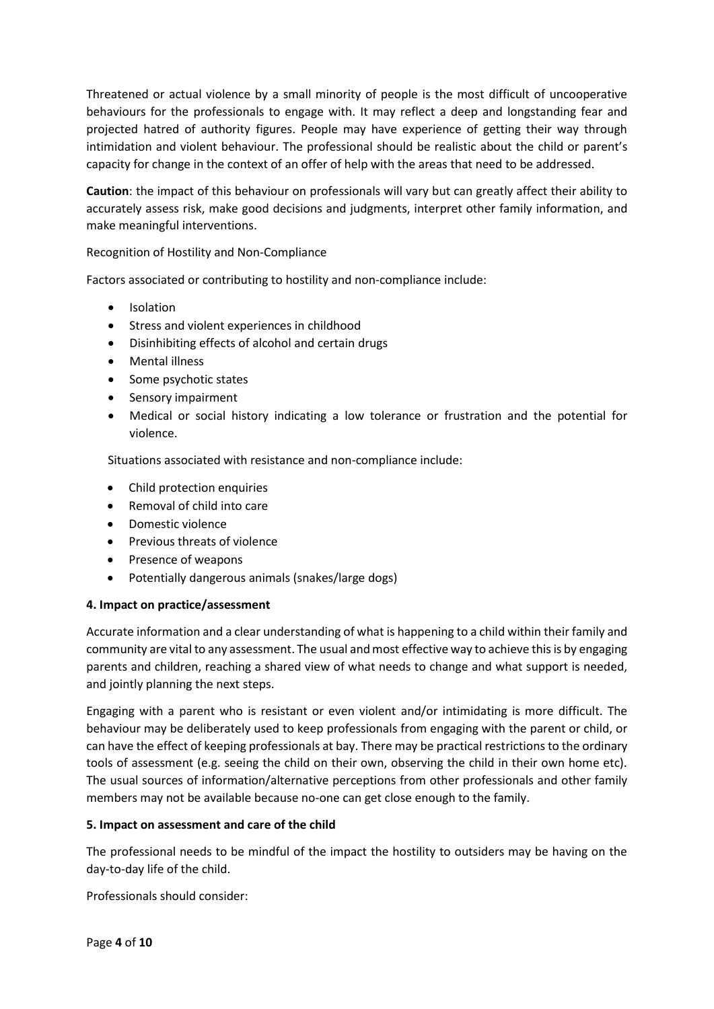Threatened or actual violence by a small minority of people is the most difficult of uncooperative behaviours for the professionals to engage with. It may reflect a deep and longstanding fear and projected hatred of authority figures. People may have experience of getting their way through intimidation and violent behaviour. The professional should be realistic about the child or parent's capacity for change in the context of an offer of help with the areas that need to be addressed.

**Caution**: the impact of this behaviour on professionals will vary but can greatly affect their ability to accurately assess risk, make good decisions and judgments, interpret other family information, and make meaningful interventions.

Recognition of Hostility and Non-Compliance

Factors associated or contributing to hostility and non-compliance include:

- Isolation
- Stress and violent experiences in childhood
- Disinhibiting effects of alcohol and certain drugs
- Mental illness
- Some psychotic states
- Sensory impairment
- Medical or social history indicating a low tolerance or frustration and the potential for violence.

Situations associated with resistance and non-compliance include:

- Child protection enquiries
- Removal of child into care
- Domestic violence
- Previous threats of violence
- Presence of weapons
- Potentially dangerous animals (snakes/large dogs)

### **4. Impact on practice/assessment**

Accurate information and a clear understanding of what is happening to a child within their family and community are vital to any assessment. The usual and most effective way to achieve this is by engaging parents and children, reaching a shared view of what needs to change and what support is needed, and jointly planning the next steps.

Engaging with a parent who is resistant or even violent and/or intimidating is more difficult. The behaviour may be deliberately used to keep professionals from engaging with the parent or child, or can have the effect of keeping professionals at bay. There may be practical restrictions to the ordinary tools of assessment (e.g. seeing the child on their own, observing the child in their own home etc). The usual sources of information/alternative perceptions from other professionals and other family members may not be available because no-one can get close enough to the family.

### **5. Impact on assessment and care of the child**

The professional needs to be mindful of the impact the hostility to outsiders may be having on the day-to-day life of the child.

Professionals should consider: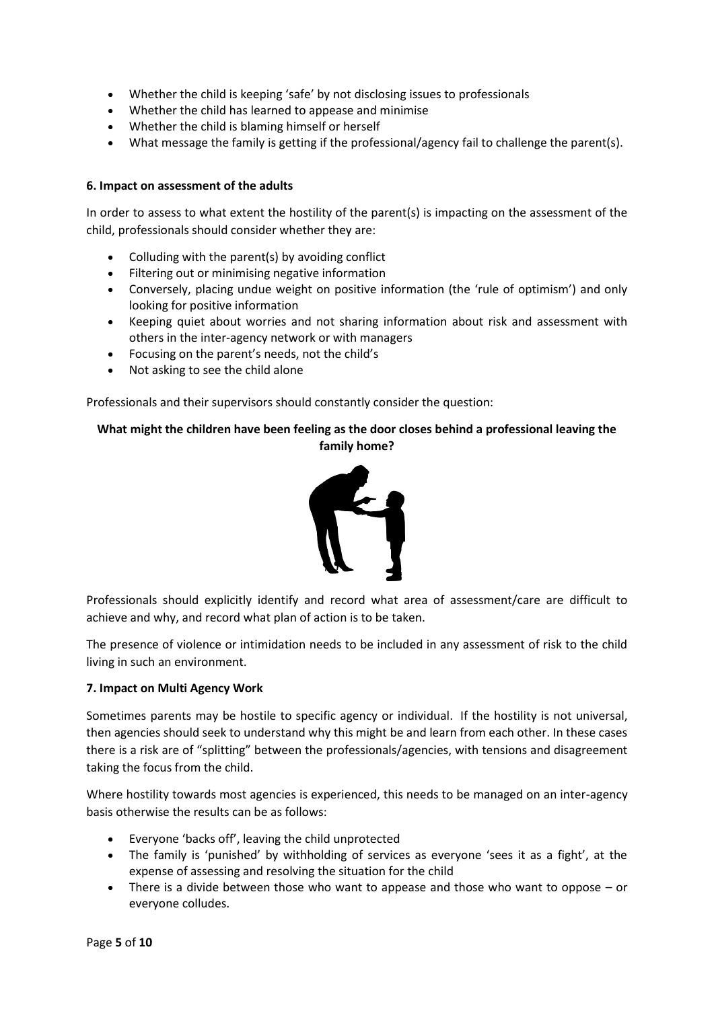- Whether the child is keeping 'safe' by not disclosing issues to professionals
- Whether the child has learned to appease and minimise
- Whether the child is blaming himself or herself
- What message the family is getting if the professional/agency fail to challenge the parent(s).

## **6. Impact on assessment of the adults**

In order to assess to what extent the hostility of the parent(s) is impacting on the assessment of the child, professionals should consider whether they are:

- Colluding with the parent(s) by avoiding conflict
- Filtering out or minimising negative information
- Conversely, placing undue weight on positive information (the 'rule of optimism') and only looking for positive information
- Keeping quiet about worries and not sharing information about risk and assessment with others in the inter-agency network or with managers
- Focusing on the parent's needs, not the child's
- Not asking to see the child alone

Professionals and their supervisors should constantly consider the question:

# **What might the children have been feeling as the door closes behind a professional leaving the family home?**



Professionals should explicitly identify and record what area of assessment/care are difficult to achieve and why, and record what plan of action is to be taken.

The presence of violence or intimidation needs to be included in any assessment of risk to the child living in such an environment.

### **7. Impact on Multi Agency Work**

Sometimes parents may be hostile to specific agency or individual. If the hostility is not universal, then agencies should seek to understand why this might be and learn from each other. In these cases there is a risk are of "splitting" between the professionals/agencies, with tensions and disagreement taking the focus from the child.

Where hostility towards most agencies is experienced, this needs to be managed on an inter-agency basis otherwise the results can be as follows:

- Everyone 'backs off', leaving the child unprotected
- The family is 'punished' by withholding of services as everyone 'sees it as a fight', at the expense of assessing and resolving the situation for the child
- There is a divide between those who want to appease and those who want to oppose or everyone colludes.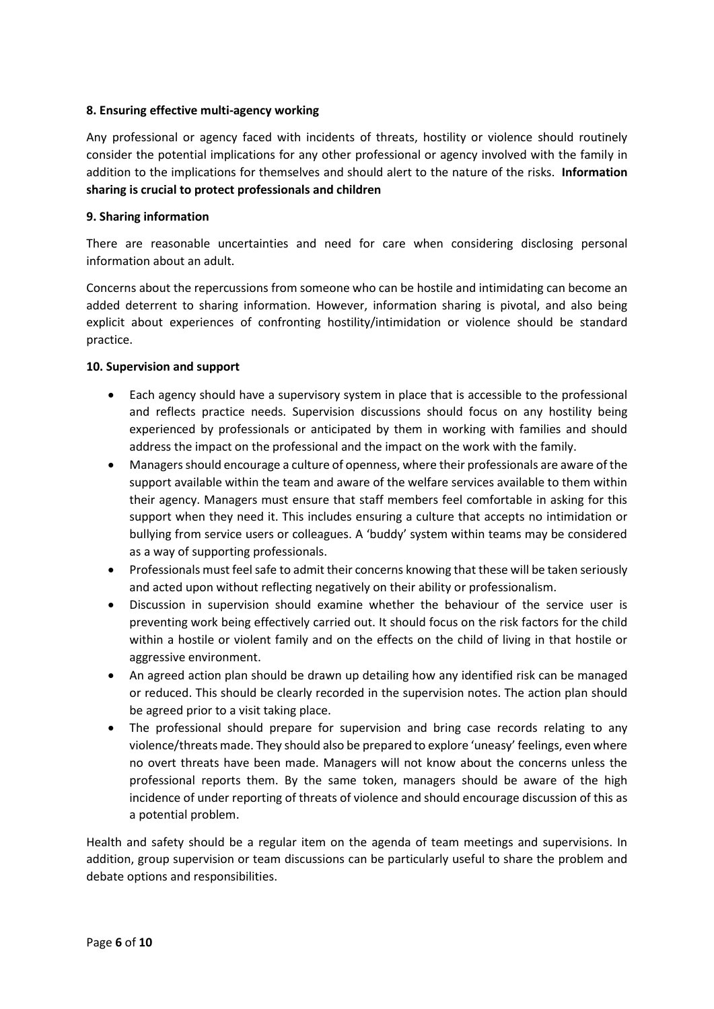## **8. Ensuring effective multi-agency working**

Any professional or agency faced with incidents of threats, hostility or violence should routinely consider the potential implications for any other professional or agency involved with the family in addition to the implications for themselves and should alert to the nature of the risks. **Information sharing is crucial to protect professionals and children**

## **9. Sharing information**

There are reasonable uncertainties and need for care when considering disclosing personal information about an adult.

Concerns about the repercussions from someone who can be hostile and intimidating can become an added deterrent to sharing information. However, information sharing is pivotal, and also being explicit about experiences of confronting hostility/intimidation or violence should be standard practice.

## **10. Supervision and support**

- Each agency should have a supervisory system in place that is accessible to the professional and reflects practice needs. Supervision discussions should focus on any hostility being experienced by professionals or anticipated by them in working with families and should address the impact on the professional and the impact on the work with the family.
- Managers should encourage a culture of openness, where their professionals are aware of the support available within the team and aware of the welfare services available to them within their agency. Managers must ensure that staff members feel comfortable in asking for this support when they need it. This includes ensuring a culture that accepts no intimidation or bullying from service users or colleagues. A 'buddy' system within teams may be considered as a way of supporting professionals.
- Professionals must feel safe to admit their concerns knowing that these will be taken seriously and acted upon without reflecting negatively on their ability or professionalism.
- Discussion in supervision should examine whether the behaviour of the service user is preventing work being effectively carried out. It should focus on the risk factors for the child within a hostile or violent family and on the effects on the child of living in that hostile or aggressive environment.
- An agreed action plan should be drawn up detailing how any identified risk can be managed or reduced. This should be clearly recorded in the supervision notes. The action plan should be agreed prior to a visit taking place.
- The professional should prepare for supervision and bring case records relating to any violence/threats made. They should also be prepared to explore 'uneasy' feelings, even where no overt threats have been made. Managers will not know about the concerns unless the professional reports them. By the same token, managers should be aware of the high incidence of under reporting of threats of violence and should encourage discussion of this as a potential problem.

Health and safety should be a regular item on the agenda of team meetings and supervisions. In addition, group supervision or team discussions can be particularly useful to share the problem and debate options and responsibilities.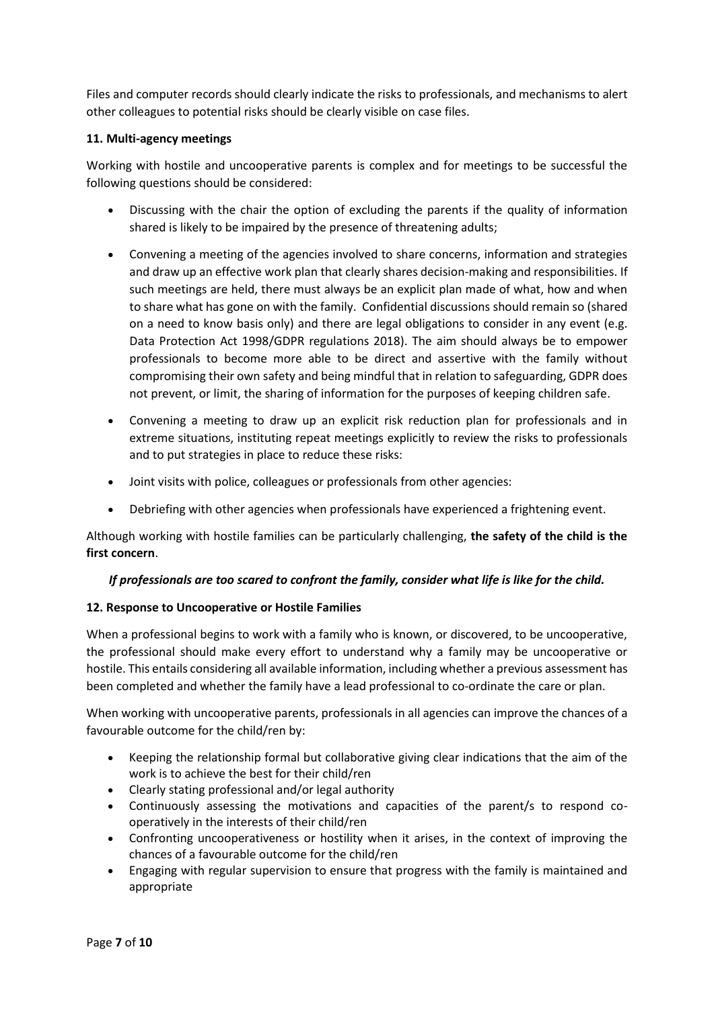Files and computer records should clearly indicate the risks to professionals, and mechanisms to alert other colleagues to potential risks should be clearly visible on case files.

## **11. Multi-agency meetings**

Working with hostile and uncooperative parents is complex and for meetings to be successful the following questions should be considered:

- Discussing with the chair the option of excluding the parents if the quality of information shared is likely to be impaired by the presence of threatening adults;
- Convening a meeting of the agencies involved to share concerns, information and strategies and draw up an effective work plan that clearly shares decision-making and responsibilities. If such meetings are held, there must always be an explicit plan made of what, how and when to share what has gone on with the family. Confidential discussions should remain so (shared on a need to know basis only) and there are legal obligations to consider in any event (e.g. Data Protection Act 1998/GDPR regulations 2018). The aim should always be to empower professionals to become more able to be direct and assertive with the family without compromising their own safety and being mindful that in relation to safeguarding, GDPR does not prevent, or limit, the sharing of information for the purposes of keeping children safe.
- Convening a meeting to draw up an explicit risk reduction plan for professionals and in extreme situations, instituting repeat meetings explicitly to review the risks to professionals and to put strategies in place to reduce these risks:
- Joint visits with police, colleagues or professionals from other agencies:
- Debriefing with other agencies when professionals have experienced a frightening event.

Although working with hostile families can be particularly challenging, **the safety of the child is the first concern**.

# *If professionals are too scared to confront the family, consider what life is like for the child.*

# **12. Response to Uncooperative or Hostile Families**

When a professional begins to work with a family who is known, or discovered, to be uncooperative, the professional should make every effort to understand why a family may be uncooperative or hostile. This entails considering all available information, including whether a previous assessment has been completed and whether the family have a lead professional to co-ordinate the care or plan.

When working with uncooperative parents, professionals in all agencies can improve the chances of a favourable outcome for the child/ren by:

- Keeping the relationship formal but collaborative giving clear indications that the aim of the work is to achieve the best for their child/ren
- Clearly stating professional and/or legal authority
- Continuously assessing the motivations and capacities of the parent/s to respond cooperatively in the interests of their child/ren
- Confronting uncooperativeness or hostility when it arises, in the context of improving the chances of a favourable outcome for the child/ren
- Engaging with regular supervision to ensure that progress with the family is maintained and appropriate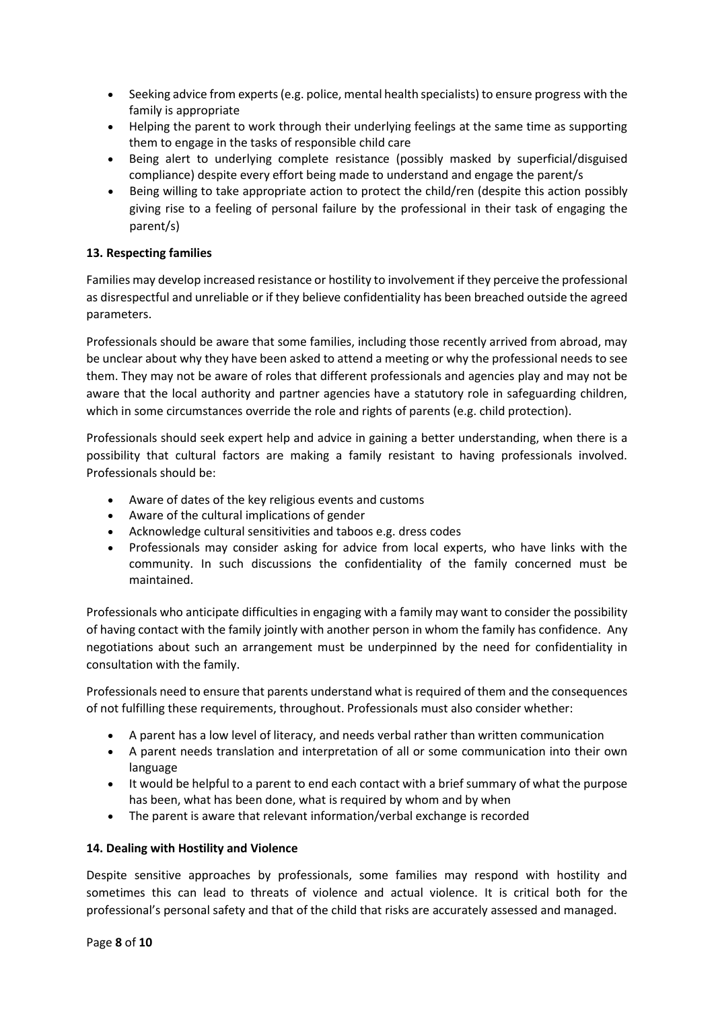- Seeking advice from experts (e.g. police, mental health specialists) to ensure progress with the family is appropriate
- Helping the parent to work through their underlying feelings at the same time as supporting them to engage in the tasks of responsible child care
- Being alert to underlying complete resistance (possibly masked by superficial/disguised compliance) despite every effort being made to understand and engage the parent/s
- Being willing to take appropriate action to protect the child/ren (despite this action possibly giving rise to a feeling of personal failure by the professional in their task of engaging the parent/s)

# **13. Respecting families**

Families may develop increased resistance or hostility to involvement if they perceive the professional as disrespectful and unreliable or if they believe confidentiality has been breached outside the agreed parameters.

Professionals should be aware that some families, including those recently arrived from abroad, may be unclear about why they have been asked to attend a meeting or why the professional needs to see them. They may not be aware of roles that different professionals and agencies play and may not be aware that the local authority and partner agencies have a statutory role in safeguarding children, which in some circumstances override the role and rights of parents (e.g. child protection).

Professionals should seek expert help and advice in gaining a better understanding, when there is a possibility that cultural factors are making a family resistant to having professionals involved. Professionals should be:

- Aware of dates of the key religious events and customs
- Aware of the cultural implications of gender
- Acknowledge cultural sensitivities and taboos e.g. dress codes
- Professionals may consider asking for advice from local experts, who have links with the community. In such discussions the confidentiality of the family concerned must be maintained.

Professionals who anticipate difficulties in engaging with a family may want to consider the possibility of having contact with the family jointly with another person in whom the family has confidence. Any negotiations about such an arrangement must be underpinned by the need for confidentiality in consultation with the family.

Professionals need to ensure that parents understand what is required of them and the consequences of not fulfilling these requirements, throughout. Professionals must also consider whether:

- A parent has a low level of literacy, and needs verbal rather than written communication
- A parent needs translation and interpretation of all or some communication into their own language
- It would be helpful to a parent to end each contact with a brief summary of what the purpose has been, what has been done, what is required by whom and by when
- The parent is aware that relevant information/verbal exchange is recorded

### **14. Dealing with Hostility and Violence**

Despite sensitive approaches by professionals, some families may respond with hostility and sometimes this can lead to threats of violence and actual violence. It is critical both for the professional's personal safety and that of the child that risks are accurately assessed and managed.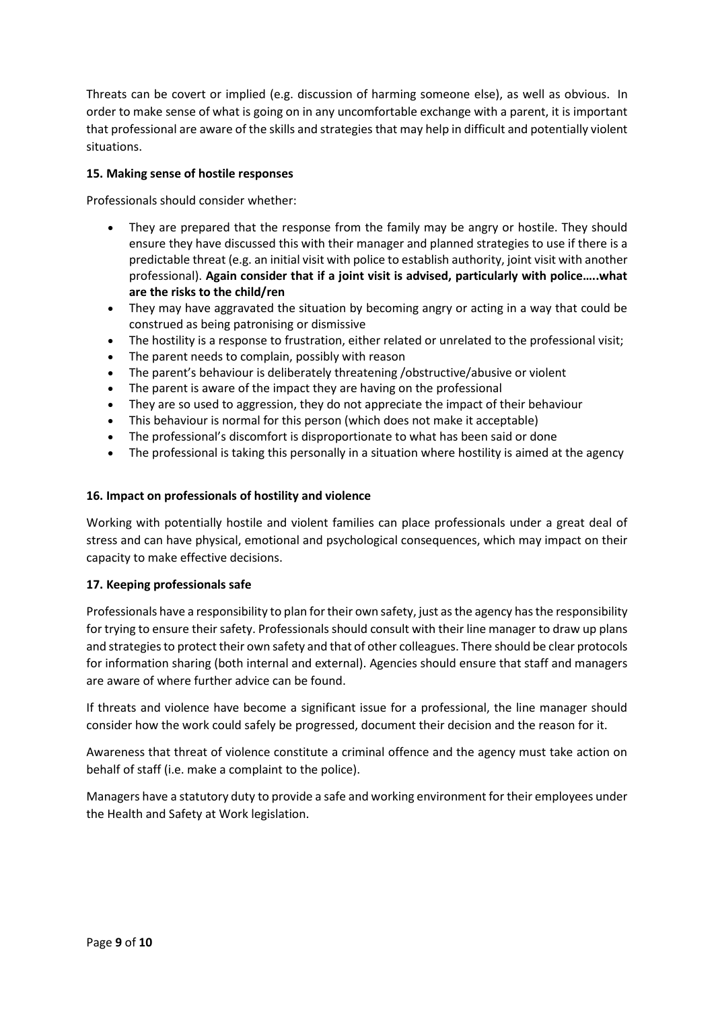Threats can be covert or implied (e.g. discussion of harming someone else), as well as obvious. In order to make sense of what is going on in any uncomfortable exchange with a parent, it is important that professional are aware of the skills and strategies that may help in difficult and potentially violent situations.

## **15. Making sense of hostile responses**

Professionals should consider whether:

- They are prepared that the response from the family may be angry or hostile. They should ensure they have discussed this with their manager and planned strategies to use if there is a predictable threat (e.g. an initial visit with police to establish authority, joint visit with another professional). **Again consider that if a joint visit is advised, particularly with police…..what are the risks to the child/ren**
- They may have aggravated the situation by becoming angry or acting in a way that could be construed as being patronising or dismissive
- The hostility is a response to frustration, either related or unrelated to the professional visit;
- The parent needs to complain, possibly with reason
- The parent's behaviour is deliberately threatening /obstructive/abusive or violent
- The parent is aware of the impact they are having on the professional
- They are so used to aggression, they do not appreciate the impact of their behaviour
- This behaviour is normal for this person (which does not make it acceptable)
- The professional's discomfort is disproportionate to what has been said or done
- The professional is taking this personally in a situation where hostility is aimed at the agency

## **16. Impact on professionals of hostility and violence**

Working with potentially hostile and violent families can place professionals under a great deal of stress and can have physical, emotional and psychological consequences, which may impact on their capacity to make effective decisions.

### **17. Keeping professionals safe**

Professionals have a responsibility to plan for their own safety, just as the agency has the responsibility for trying to ensure their safety. Professionals should consult with their line manager to draw up plans and strategies to protect their own safety and that of other colleagues. There should be clear protocols for information sharing (both internal and external). Agencies should ensure that staff and managers are aware of where further advice can be found.

If threats and violence have become a significant issue for a professional, the line manager should consider how the work could safely be progressed, document their decision and the reason for it.

Awareness that threat of violence constitute a criminal offence and the agency must take action on behalf of staff (i.e. make a complaint to the police).

Managers have a statutory duty to provide a safe and working environment for their employees under the Health and Safety at Work legislation.